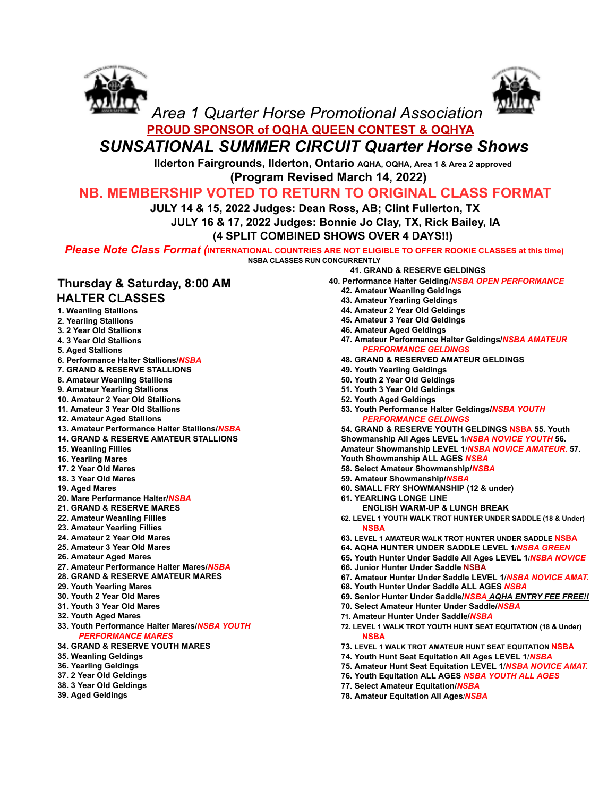



# *Area 1 Quarter Horse Promotional Association* **PROUD SPONSOR of OQHA QUEEN CONTEST & OQHYA**

# *SUNSATIONAL SUMMER CIRCUIT Quarter Horse Shows*

**Ilderton Fairgrounds, Ilderton, Ontario AQHA, OQHA, Area 1 & Area 2 approved**

**(Program Revised March 14, 2022)**

## **NB. MEMBERSHIP VOTED TO RETURN TO ORIGINAL CLASS FORMAT**

**JULY 14 & 15, 2022 Judges: Dean Ross, AB; Clint Fullerton, TX**

**JULY 16 & 17, 2022 Judges: Bonnie Jo Clay, TX, Rick Bailey, IA**

**(4 SPLIT COMBINED SHOWS OVER 4 DAYS!!)**

*Please Note Class Format (***INTERNATIONAL COUNTRIES ARE NOT ELIGIBLE TO OFFER ROOKIE CLASSES at this time) NSBA CLASSES RUN CONCURRENTLY**

### **Thursday & Saturday, 8:00 AM HALTER CLASSES**

- **1. Weanling Stallions**
- **2. Yearling Stallions 3. 2 Year Old Stallions**
- **4. 3 Year Old Stallions**
- **5. Aged Stallions**
- **6. Performance Halter Stallions/***NSBA*
- **7. GRAND & RESERVE STALLIONS**
- **8. Amateur Weanling Stallions**
- **9. Amateur Yearling Stallions**
- **10. Amateur 2 Year Old Stallions**
- **11. Amateur 3 Year Old Stallions**
- **12. Amateur Aged Stallions**
- **13. Amateur Performance Halter Stallions/***NSBA*
- **14. GRAND & RESERVE AMATEUR STALLIONS**
- **15. Weanling Fillies**
- **16. Yearling Mares**
- **17. 2 Year Old Mares**
- **18. 3 Year Old Mares**
- **19. Aged Mares**
- **20. Mare Performance Halter/***NSBA*
- **21. GRAND & RESERVE MARES**
- **22. Amateur Weanling Fillies**
- **23. Amateur Yearling Fillies**
- **24. Amateur 2 Year Old Mares**
- **25. Amateur 3 Year Old Mares**
- **26. Amateur Aged Mares**
- **27. Amateur Performance Halter Mares/***NSBA*
- **28. GRAND & RESERVE AMATEUR MARES**
- **29. Youth Yearling Mares**
- **30. Youth 2 Year Old Mares**
- **31. Youth 3 Year Old Mares**
- **32. Youth Aged Mares**
- **33. Youth Performance Halter Mares/***NSBA YOUTH PERFORMANCE MARES*
- **34. GRAND & RESERVE YOUTH MARES**
- **35. Weanling Geldings**
- **36. Yearling Geldings**
- **37. 2 Year Old Geldings**
- **38. 3 Year Old Geldings**
- **39. Aged Geldings**
- **41. GRAND & RESERVE GELDINGS**
- **40. Performance Halter Gelding/***NSBA OPEN PERFORMANCE*
	- **42. Amateur Weanling Geldings**
	- **43. Amateur Yearling Geldings**
	- **44. Amateur 2 Year Old Geldings**
	- **45. Amateur 3 Year Old Geldings**
	- **46. Amateur Aged Geldings**
	- **47. Amateur Performance Halter Geldings/***NSBA AMATEUR PERFORMANCE GELDINGS*
	- **48. GRAND & RESERVED AMATEUR GELDINGS**
	- **49. Youth Yearling Geldings**
	- **50. Youth 2 Year Old Geldings**
	- **51. Youth 3 Year Old Geldings**
	- **52. Youth Aged Geldings**
	- **53. Youth Performance Halter Geldings/***NSBA YOUTH PERFORMANCE GELDINGS*

**54. GRAND & RESERVE YOUTH GELDINGS NSBA 55. Youth Showmanship All Ages LEVEL 1/***NSBA NOVICE YOUTH* **56. Amateur Showmanship LEVEL 1**/*NSBA NOVICE AMATEUR.* **57. Youth Showmanship ALL AGES** *NSBA*

- **58. Select Amateur Showmanship/***NSBA*
- **59. Amateur Showmanship/***NSBA*
- **60. SMALL FRY SHOWMANSHIP (12 & under)**
- **61. YEARLING LONGE LINE**
	- **ENGLISH WARM-UP & LUNCH BREAK**
- **62. LEVEL 1 YOUTH WALK TROT HUNTER UNDER SADDLE (18 & Under) NSBA**
- **63. LEVEL 1 AMATEUR WALK TROT HUNTER UNDER SADDLE NSBA**
- **64. AQHA HUNTER UNDER SADDLE LEVEL 1/***NSBA GREEN*
- **65. Youth Hunter Under Saddle All Ages LEVEL 1/***NSBA NOVICE*
- **66. Junior Hunter Under Saddle NSBA**
- **67. Amateur Hunter Under Saddle LEVEL 1**/*NSBA NOVICE AMAT.*
- **68. Youth Hunter Under Saddle ALL AGES** *NSBA*
- **69. Senior Hunter Under Saddle/***NSBA AQHA ENTRY FEE FREE!!*
- **70. Select Amateur Hunter Under Saddle/***NSBA*
- **71. Amateur Hunter Under Saddle/***NSBA*
- **72. LEVEL 1 WALK TROT YOUTH HUNT SEAT EQUITATION (18 & Under) NSBA**
- **73. LEVEL 1 WALK TROT AMATEUR HUNT SEAT EQUITATION NSBA**
- **74. Youth Hunt Seat Equitation All Ages LEVEL 1**/*NSBA*
- **75. Amateur Hunt Seat Equitation LEVEL 1**/*NSBA NOVICE AMAT.*
- **76. Youth Equitation ALL AGES** *NSBA YOUTH ALL AGES*
- **77. Select Amateur Equitation/***NSBA*
- **78. Amateur Equitation All Ages**/*NSBA*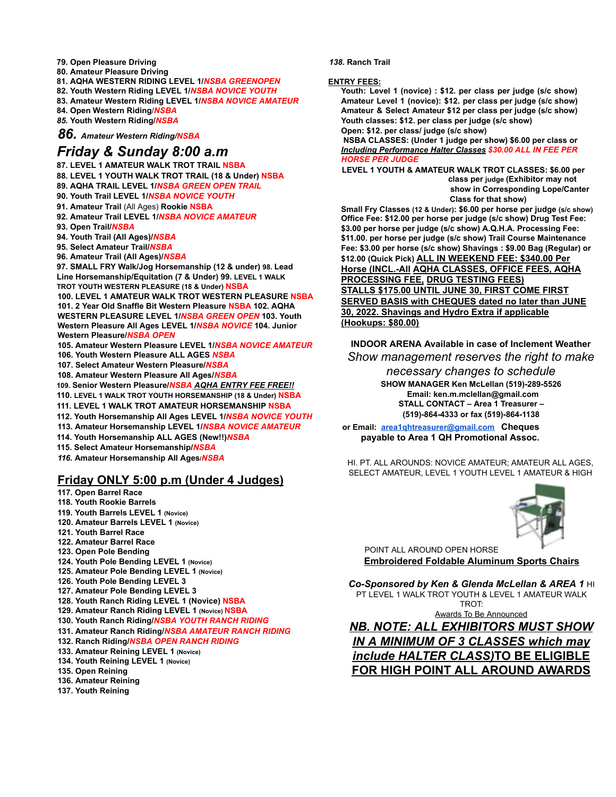- **79. Open Pleasure Driving**
- **80. Amateur Pleasure Driving**
- **81. AQHA WESTERN RIDING LEVEL 1/***NSBA GREENOPEN*
- **82. Youth Western Riding LEVEL 1/***NSBA NOVICE YOUTH*
- **83. Amateur Western Riding LEVEL 1/***NSBA NOVICE AMATEUR*
- **84. Open Western Riding**/*NSBA*
- *85.* **Youth Western Riding/***NSBA*

*86. Amateur Western Riding/NSBA*

#### *Friday & Sunday 8:00 a.m*

- **87. LEVEL 1 AMATEUR WALK TROT TRAIL NSBA**
- **88. LEVEL 1 YOUTH WALK TROT TRAIL (18 & Under) NSBA**
- **89. AQHA TRAIL LEVEL 1/***NSBA GREEN OPEN TRAIL*
- **90. Youth Trail LEVEL 1/***NSBA NOVICE YOUTH*
- **91. Amateur Trail** (All Ages) **Rookie NSBA**
- **92. Amateur Trail LEVEL 1/***NSBA NOVICE AMATEUR*
- **93. Open Trail/***NSBA*
- **94. Youth Trail (All Ages)/***NSBA*
- **95. Select Amateur Trail/***NSBA*
- **96. Amateur Trail (All Ages)/***NSBA*

**97. SMALL FRY Walk/Jog Horsemanship (12 & under) 98. Lead Line Horsemanship/Equitation (7 & Under) 99. LEVEL 1 WALK TROT YOUTH WESTERN PLEASURE (18 & Under) NSBA**

**100. LEVEL 1 AMATEUR WALK TROT WESTERN PLEASURE NSBA 101. 2 Year Old Snaffle Bit Western Pleasure NSBA 102. AQHA WESTERN PLEASURE LEVEL 1/***NSBA GREEN OPEN* **103. Youth Western Pleasure All Ages LEVEL 1/***NSBA NOVICE* **104. Junior Western Pleasure/***NSBA OPEN*

- **105. Amateur Western Pleasure LEVEL 1/***NSBA NOVICE AMATEUR* **106. Youth Western Pleasure ALL AGES** *NSBA*
- **107. Select Amateur Western Pleasure/***NSBA*
- **108. Amateur Western Pleasure All Ages/***NSBA*

**109. Senior Western Pleasure/***NSBA AQHA ENTRY FEE FREE!!*

**110. LEVEL 1 WALK TROT YOUTH HORSEMANSHIP (18 & Under) NSBA**

- **111. LEVEL 1 WALK TROT AMATEUR HORSEMANSHIP NSBA**
- **112. Youth Horsemanship All Ages LEVEL 1/***NSBA NOVICE YOUTH*
- **113. Amateur Horsemanship LEVEL 1/***NSBA NOVICE AMATEUR*
- **114. Youth Horsemanship ALL AGES (New!!)***NSBA*
- **115. Select Amateur Horsemanship/***NSBA*
- *116.* **Amateur Horsemanship All Ages/***NSBA*

#### **Friday ONLY 5:00 p.m (Under 4 Judges)**

- **117. Open Barrel Race**
- **118. Youth Rookie Barrels**
- **119. Youth Barrels LEVEL 1 (Novice)**
- **120. Amateur Barrels LEVEL 1 (Novice)**
- **121. Youth Barrel Race**
- **122. Amateur Barrel Race**
- **123. Open Pole Bending**
- **124. Youth Pole Bending LEVEL 1 (Novice)**
- **125. Amateur Pole Bending LEVEL 1 (Novice)**
- **126. Youth Pole Bending LEVEL 3**
- **127. Amateur Pole Bending LEVEL 3**
- **128. Youth Ranch Riding LEVEL 1 (Novice) NSBA**
- **129. Amateur Ranch Riding LEVEL 1 (Novice) NSBA**
- **130. Youth Ranch Riding/***NSBA YOUTH RANCH RIDING*
- **131. Amateur Ranch Riding/***NSBA AMATEUR RANCH RIDING*
- **132. Ranch Riding/***NSBA OPEN RANCH RIDING*
- **133. Amateur Reining LEVEL 1 (Novice)**
- **134. Youth Reining LEVEL 1 (Novice)**
- **135. Open Reining**
- **136. Amateur Reining**
- **137. Youth Reining**

#### *138.* **Ranch Trail**

#### **ENTRY FEES:**

**Youth: Level 1 (novice) : \$12. per class per judge (s/c show) Amateur Level 1 (novice): \$12. per class per judge (s/c show) Amateur & Select Amateur \$12 per class per judge (s/c show) Youth classes: \$12. per class per judge (s/c show) Open: \$12. per class/ judge (s/c show)**

**NSBA CLASSES: (Under 1 judge per show) \$6.00 per class or** *Including Performance Halter Classes \$30.00 ALL IN FEE PER HORSE PER JUDGE*

**LEVEL 1 YOUTH & AMATEUR WALK TROT CLASSES: \$6.00 per class per judge (Exhibitor may not show in Corresponding Lope/Canter Class for that show)**

**Small Fry Classes (12 & Under): \$6.00 per horse per judge (s/c show) Office Fee: \$12.00 per horse per judge (s/c show) Drug Test Fee: \$3.00 per horse per judge (s/c show) A.Q.H.A. Processing Fee: \$11.00. per horse per judge (s/c show) Trail Course Maintenance Fee: \$3.00 per horse (s/c show) Shavings : \$9.00 Bag (Regular) or \$12.00 (Quick Pick) ALL IN WEEKEND FEE: \$340.00 Per Horse (INCL.-All AQHA CLASSES, OFFICE FEES, AQHA PROCESSING FEE, DRUG TESTING FEES) STALLS \$175.00 UNTIL JUNE 30, FIRST COME FIRST SERVED BASIS with CHEQUES dated no later than JUNE 30, 2022. Shavings and Hydro Extra if applicable (Hookups: \$80.00)**

**INDOOR ARENA Available in case of Inclement Weather** *Show management reserves the right to make*

*necessary changes to schedule*

**SHOW MANAGER Ken McLellan (519)-289-5526 Email: ken.m.mclellan@gmail.com STALL CONTACT – Area 1 Treasurer – (519)-864-4333 or fax (519)-864-1138**

**or Email: [area1qhtreasurer@gmail.com](mailto:area1qhtreasurer@gmail.com) Cheques payable to Area 1 QH Promotional Assoc.**

HI. PT. ALL AROUNDS: NOVICE AMATEUR; AMATEUR ALL AGES, SELECT AMATEUR, LEVEL 1 YOUTH LEVEL 1 AMATEUR & HIGH



POINT ALL AROUND OPEN HORSE **Embroidered Foldable Aluminum Sports Chairs**

*Co-Sponsored by Ken & Glenda McLellan & AREA 1* HI PT LEVEL 1 WALK TROT YOUTH & LEVEL 1 AMATEUR WALK TROT:

Awards To Be Announced

*NB. NOTE: ALL EXHIBITORS MUST SHOW IN A MINIMUM OF 3 CLASSES which may include HALTER CLASS)***TO BE ELIGIBLE FOR HIGH POINT ALL AROUND AWARDS**